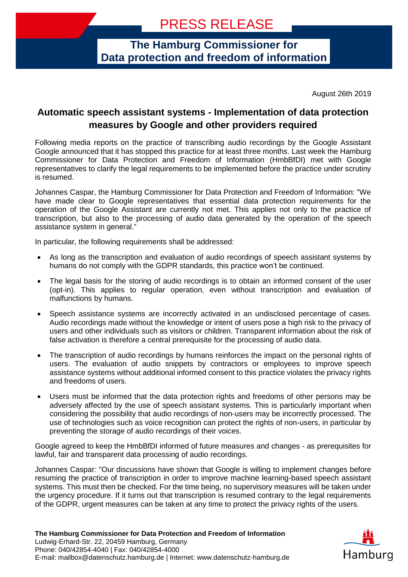**The Hamburg Commissioner for Data protection and freedom of information**

August 26th 2019

## **Automatic speech assistant systems - Implementation of data protection measures by Google and other providers required**

Following media reports on the practice of transcribing audio recordings by the Google Assistant Google announced that it has stopped this practice for at least three months. Last week the Hamburg Commissioner for Data Protection and Freedom of Information (HmbBfDI) met with Google representatives to clarify the legal requirements to be implemented before the practice under scrutiny is resumed.

Johannes Caspar, the Hamburg Commissioner for Data Protection and Freedom of Information: "We have made clear to Google representatives that essential data protection requirements for the operation of the Google Assistant are currently not met. This applies not only to the practice of transcription, but also to the processing of audio data generated by the operation of the speech assistance system in general."

In particular, the following requirements shall be addressed:

- As long as the transcription and evaluation of audio recordings of speech assistant systems by humans do not comply with the GDPR standards, this practice won't be continued.
- The legal basis for the storing of audio recordings is to obtain an informed consent of the user (opt-in). This applies to regular operation, even without transcription and evaluation of malfunctions by humans.
- Speech assistance systems are incorrectly activated in an undisclosed percentage of cases. Audio recordings made without the knowledge or intent of users pose a high risk to the privacy of users and other individuals such as visitors or children. Transparent information about the risk of false activation is therefore a central prerequisite for the processing of audio data.
- The transcription of audio recordings by humans reinforces the impact on the personal rights of users. The evaluation of audio snippets by contractors or employees to improve speech assistance systems without additional informed consent to this practice violates the privacy rights and freedoms of users.
- Users must be informed that the data protection rights and freedoms of other persons may be adversely affected by the use of speech assistant systems. This is particularly important when considering the possibility that audio recordings of non-users may be incorrectly processed. The use of technologies such as voice recognition can protect the rights of non-users, in particular by preventing the storage of audio recordings of their voices.

Google agreed to keep the HmbBfDI informed of future measures and changes - as prerequisites for lawful, fair and transparent data processing of audio recordings.

Johannes Caspar: "Our discussions have shown that Google is willing to implement changes before resuming the practice of transcription in order to improve machine learning-based speech assistant systems. This must then be checked. For the time being, no supervisory measures will be taken under the urgency procedure. If it turns out that transcription is resumed contrary to the legal requirements of the GDPR, urgent measures can be taken at any time to protect the privacy rights of the users.